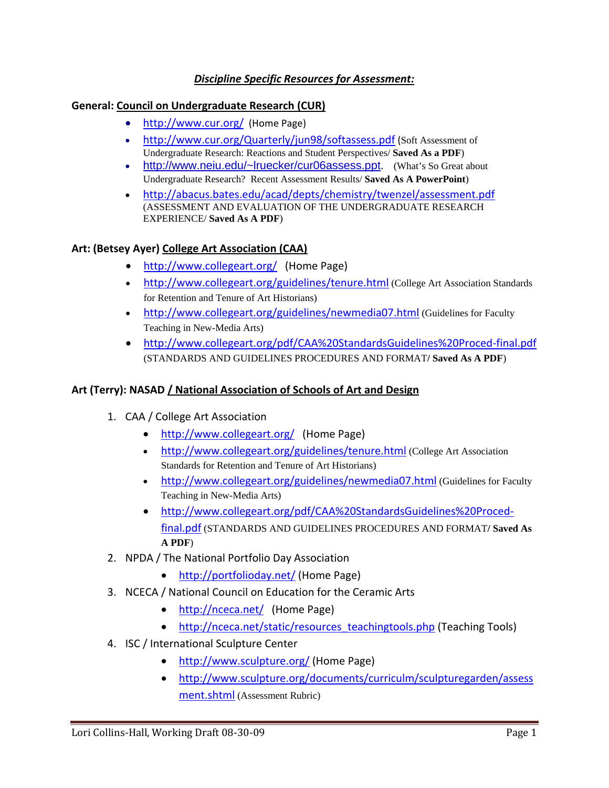# *Discipline Specific Resources for Assessment:*

#### **General: Council on Undergraduate Research (CUR)**

- <http://www.cur.org/> (Home Page)
- [http://www.cur.org/Quarterly/jun98/softassess.p](http://www.cur.org/Quarterly/jun98/softassess.pdf)df (Soft Assessment of Undergraduate Research: Reactions and Student Perspectives/ **Saved As a PDF**)
- [http://www.neiu.edu/~lruecker/cur06assess.ppt.](http://www.neiu.edu/%7Elruecker/cur06assess.ppt) (What's So Great about Undergraduate Research? Recent Assessment Results/ **Saved As A PowerPoint**)
- <http://abacus.bates.edu/acad/depts/chemistry/twenzel/assessment.pdf> (ASSESSMENT AND EVALUATION OF THE UNDERGRADUATE RESEARCH EXPERIENCE/ **Saved As A PDF**)

## **Art: (Betsey Ayer) College Art Association (CAA)**

- <http://www.collegeart.org/> (Home Page)
- <http://www.collegeart.org/guidelines/tenure.html> (College Art Association Standards for Retention and Tenure of Art Historians)
- <http://www.collegeart.org/guidelines/newmedia07.html> (Guidelines for Faculty Teaching in New-Media Arts)
- [http://www.collegeart.org/pdf/CAA%20StandardsGuidelines%20Proced](http://www.collegeart.org/pdf/CAA%20StandardsGuidelines%20Proced-final.pdf)‐final.pdf (STANDARDS AND GUIDELINES PROCEDURES AND FORMAT**/ Saved As A PDF**)

#### **Art (Terry): NASAD / National Association of Schools of Art and Design**

- 1. CAA / College Art [Association](http://www.collegeart.org/)
	- <http://www.collegeart.org/> (Home Page)
	- <http://www.collegeart.org/guidelines/tenure.html> (College Art Association Standards for Retention and Tenure of Art Historians)
	- <http://www.collegeart.org/guidelines/newmedia07.html> (Guidelines for Faculty Teaching in New-Media Arts)
	- [http://www.collegeart.org/pdf/CAA%20StandardsGuidelines%20Proced](http://www.collegeart.org/pdf/CAA%20StandardsGuidelines%20Proced-final.pdf)‐ [final.pdf](http://www.collegeart.org/pdf/CAA%20StandardsGuidelines%20Proced-final.pdf) (STANDARDS AND GUIDELINES PROCEDURES AND FORMAT**/ Saved As A PDF**)
- 2. NPDA / The National Portfolio Day Association
	- <http://portfolioday.net/> (Home Page)
- 3. NCECA / National Council on [Education](http://nceca.net/) for the Ceramic Arts
	- <http://nceca.net/> (Home Page)
	- [http://nceca.net/static/resources\\_teachingtools.php](http://nceca.net/static/resources_teachingtools.php) (Teaching Tools)
- 4. ISC / International Sculpture Center
	- http://www.sculpture.org/ [\(Home](http://www.sculpture.org/) Page)
	- [http://www.sculpture.org/documents/curriculm/sculpturegarden/assess](http://www.sculpture.org/documents/curriculm/sculpturegarden/assessment.shtml) [ment.shtml](http://www.sculpture.org/documents/curriculm/sculpturegarden/assessment.shtml) (Assessment Rubric)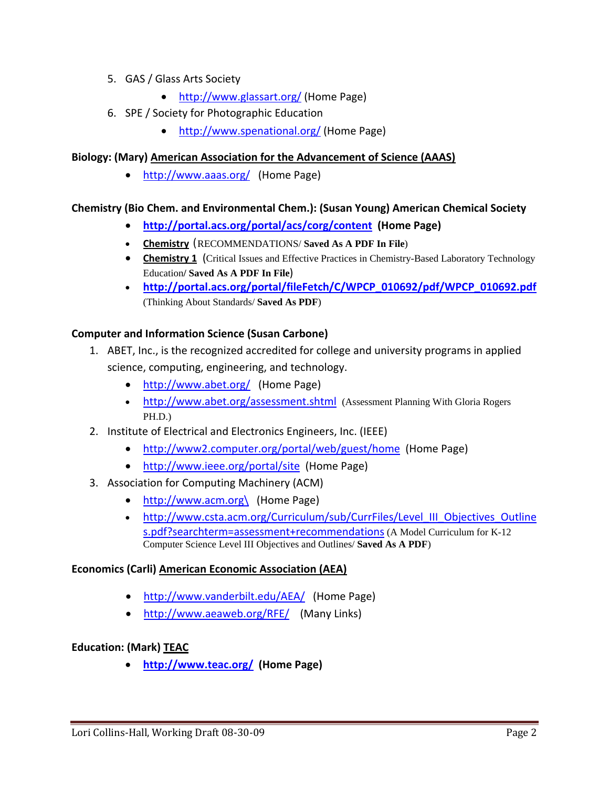- 5. GAS / Glass Arts Society
	- http://www.glassart.org/ [\(Home](http://www.glassart.org/) Page)
- 6. SPE / Society for Photographic Education
	- <http://www.spenational.org/> (Home Page)

#### **Biology: (Mary) American Association for the Advancement of Science (AAAS)**

• http://www.aaas.org/ [\(Home](http://www.aaas.org/) Page)

#### **Chemistry (Bio Chem. and Environmental Chem.): (Susan Young) American Chemical Society**

- **<http://portal.acs.org/portal/acs/corg/content> (Home Page)**
- **Chemistry** (RECOMMENDATIONS/ **Saved As A PDF In File**)
- **Chemistry 1** (Critical Issues and Effective Practices in Chemistry-Based Laboratory Technology Education**/ Saved As A PDF In File**)
- **[http://portal.acs.org/portal/fileFetch/C/WPCP\\_010692/pdf/WPCP\\_010692.pdf](http://portal.acs.org/portal/fileFetch/C/WPCP_010692/pdf/WPCP_010692.pdf)** (Thinking About Standards/ **Saved As PDF**)

#### **Computer and Information Science (Susan Carbone)**

- 1. ABET, Inc., is the recognized accredited for college and university programs in applied science, computing, engineering, and technology.
	- <http://www.abet.org/> (Home Page)
	- <http://www.abet.org/assessment.shtml> (Assessment Planning With Gloria Rogers PH.D.)
- 2. Institute of Electrical and Electronics Engineers, Inc. (IEEE)
	- <http://www2.computer.org/portal/web/guest/home> (Home Page)
	- <http://www.ieee.org/portal/site> (Home Page)
- 3. Association for Computing Machinery (ACM)
	- [http://www.acm.org\](http://www.acm.org/) (Home Page)
	- [http://www.csta.acm.org/Curriculum/sub/CurrFiles/Level\\_III\\_Objectives\\_Outline](http://www.csta.acm.org/Curriculum/sub/CurrFiles/Level_III_Objectives_Outlines.pdf?searchterm=assessment+recommendations) [s.pdf?searchterm=assessment+recommendations](http://www.csta.acm.org/Curriculum/sub/CurrFiles/Level_III_Objectives_Outlines.pdf?searchterm=assessment+recommendations) (A Model Curriculum for K-12 Computer Science Level III Objectives and Outlines/ **Saved As A PDF**)

#### **Economics (Carli) American Economic Association (AEA)**

- http://www.vanderbilt.edu/AEA/ [\(Home](http://www.vanderbilt.edu/AEA/) Page)
- <http://www.aeaweb.org/RFE/> (Many Links)

#### **Education: (Mark) TEAC**

• **<http://www.teac.org/> (Home Page)**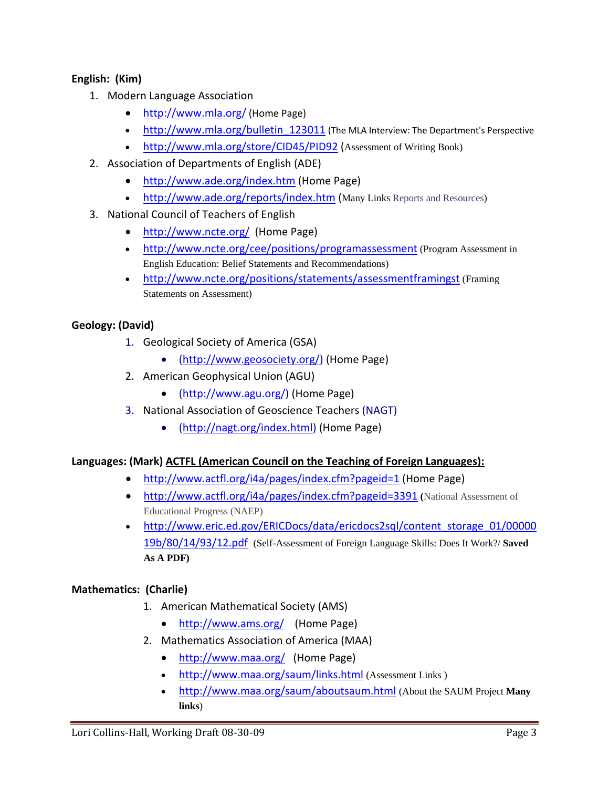# **English: (Kim)**

- 1. Modern Language Association
	- <http://www.mla.org/> (Home Page)
	- http://www.mla.org/bulletin 123011 (The MLA Interview: The Department's Perspective
	- <http://www.mla.org/store/CID45/PID92> (Assessment of Writing Book)
- 2. Association of Departments of English (ADE)
	- http://www.ade.org/index.htm [\(Home](http://www.ade.org/index.htm) Page)
	- <http://www.ade.org/reports/index.htm> (Many Links Reports and Resources)
- 3. National Council of Teachers of English
	- <http://www.ncte.org/> (Home Page)
	- <http://www.ncte.org/cee/positions/programassessment> (Program Assessment in English Education: Belief Statements and Recommendations)
	- <http://www.ncte.org/positions/statements/assessmentframingst> (Framing) Statements on Assessment)

## **Geology: (David)**

- 1. Geological Society of America (GSA)
	- ([http://www.geosociety.org/\)](http://www.geosociety.org/) (Home Page)
- 2. American Geophysical Union (AGU)
	- (<http://www.agu.org/>) (Home Page)
- 3. National Association of Geoscience Teachers (NAGT)
	- ([http://nagt.org/index.html\)](http://nagt.org/index.html) (Home Page)

## **Languages: (Mark) ACTFL (American Council on the Teaching of Foreign Languages):**

- http://www.actfl.org/i4a/pages/index.cfm?pageid=1 [\(Home](http://www.actfl.org/i4a/pages/index.cfm?pageid=1) Page)
- <http://www.actfl.org/i4a/pages/index.cfm?pageid=3391> **(**National Assessment of Educational Progress (NAEP)
- [http://www.eric.ed.gov/ERICDocs/data/ericdocs2sql/content\\_storage\\_01/00000](http://www.eric.ed.gov/ERICDocs/data/ericdocs2sql/content_storage_01/0000019b/80/14/93/12.pdf) [19b/80/14/93/12.pdf](http://www.eric.ed.gov/ERICDocs/data/ericdocs2sql/content_storage_01/0000019b/80/14/93/12.pdf) (Self-Assessment of Foreign Language Skills: Does It Work?/ **Saved As A PDF)**

## **Mathematics: (Charlie)**

- 1. American Mathematical Society (AMS)
	- <http://www.ams.org/> (Home Page)
- 2. Mathematics Association of America (MAA)
	- <http://www.maa.org/> (Home Page)
	- <http://www.maa.org/saum/links.html> (Assessment Links )
	- <http://www.maa.org/saum/aboutsaum.html> (About the SAUM Project **Many links**)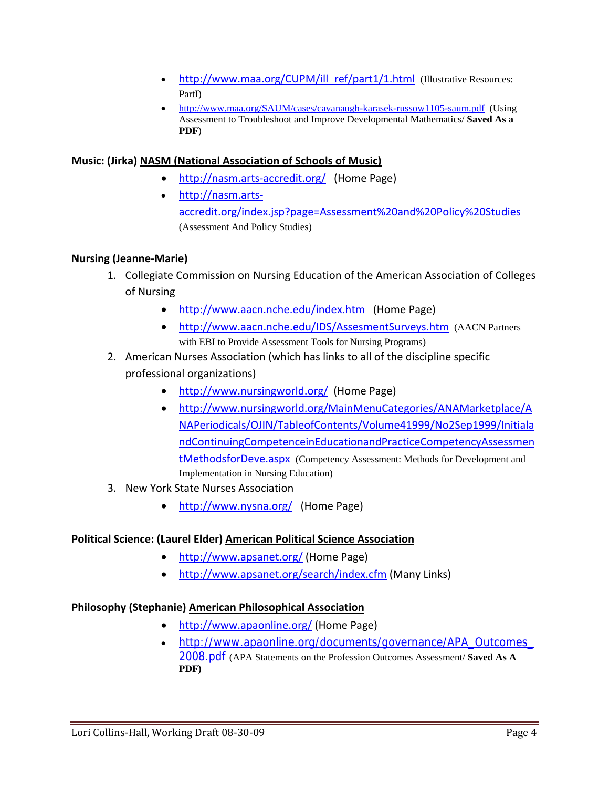- [http://www.maa.org/CUPM/ill\\_ref/part1/1.html](http://www.maa.org/CUPM/ill_ref/part1/1.html) (Illustrative Resources: PartI)
- <http://www.maa.org/SAUM/cases/cavanaugh-karasek-russow1105-saum.pdf> (Using Assessment to Troubleshoot and Improve Developmental Mathematics/ **Saved As a PDF**)

## **Music: (Jirka) NASM (National Association of Schools of Music)**

- http://nasm.arts-accredit.org/ [\(Home](http://nasm.arts-accredit.org/) Page)
- [http://nasm.arts](http://nasm.arts-accredit.org/index.jsp?page=Assessment%20and%20Policy%20Studies)‐ [accredit.org/index.jsp?page=Assessment%20and%20Policy%20Studies](http://nasm.arts-accredit.org/index.jsp?page=Assessment%20and%20Policy%20Studies) (Assessment And Policy Studies)

#### **Nursing (Jeanne‐Marie)**

- 1. Collegiate Commission on Nursing Education of the American Association of Colleges of Nursing
	- http://www.aacn.nche.edu/index.htm [\(Home](http://www.aacn.nche.edu/index.htm) Page)
	- <http://www.aacn.nche.edu/IDS/AssesmentSurveys.htm> (AACN Partners with EBI to Provide Assessment Tools for Nursing Programs)
- 2. American Nurses Association (which has links to all of the discipline specific professional organizations)
	- http://www.nursingworld.org/ [\(Home](http://www.nursingworld.org/) Page)
	- [http://www.nursingworld.org/MainMenuCategories/ANAMarketplace/A](http://www.nursingworld.org/MainMenuCategories/ANAMarketplace/ANAPeriodicals/OJIN/TableofContents/Volume41999/No2Sep1999/InitialandContinuingCompetenceinEducationandPracticeCompetencyAssessmentMethodsforDeve.aspx) [NAPeriodicals/OJIN/TableofContents/Volume41999/No2Sep1999/Initiala](http://www.nursingworld.org/MainMenuCategories/ANAMarketplace/ANAPeriodicals/OJIN/TableofContents/Volume41999/No2Sep1999/InitialandContinuingCompetenceinEducationandPracticeCompetencyAssessmentMethodsforDeve.aspx) [ndContinuingCompetenceinEducationandPracticeCompetencyAssessmen](http://www.nursingworld.org/MainMenuCategories/ANAMarketplace/ANAPeriodicals/OJIN/TableofContents/Volume41999/No2Sep1999/InitialandContinuingCompetenceinEducationandPracticeCompetencyAssessmentMethodsforDeve.aspx) [tMethodsforDeve.aspx](http://www.nursingworld.org/MainMenuCategories/ANAMarketplace/ANAPeriodicals/OJIN/TableofContents/Volume41999/No2Sep1999/InitialandContinuingCompetenceinEducationandPracticeCompetencyAssessmentMethodsforDeve.aspx) (Competency Assessment: Methods for Development and Implementation in Nursing Education)
- 3. New York State Nurses Association
	- <http://www.nysna.org/> (Home Page)

#### **Political Science: (Laurel Elder) American Political Science Association**

- <http://www.apsanet.org/> (Home Page)
- <http://www.apsanet.org/search/index.cfm> (Many Links)

#### **Philosophy (Stephanie) American Philosophical Association**

- <http://www.apaonline.org/> (Home Page)
- http://www.apaonline.org/documents/governance/APA\_Outcomes 2008.pdf [\(APA Statements on the Profession Outcomes Assessment/](http://www.apaonline.org/documents/governance/APA_Outcomes_2008.pdf) **Saved As A [PDF\)](http://www.apaonline.org/documents/governance/APA_Outcomes_2008.pdf)**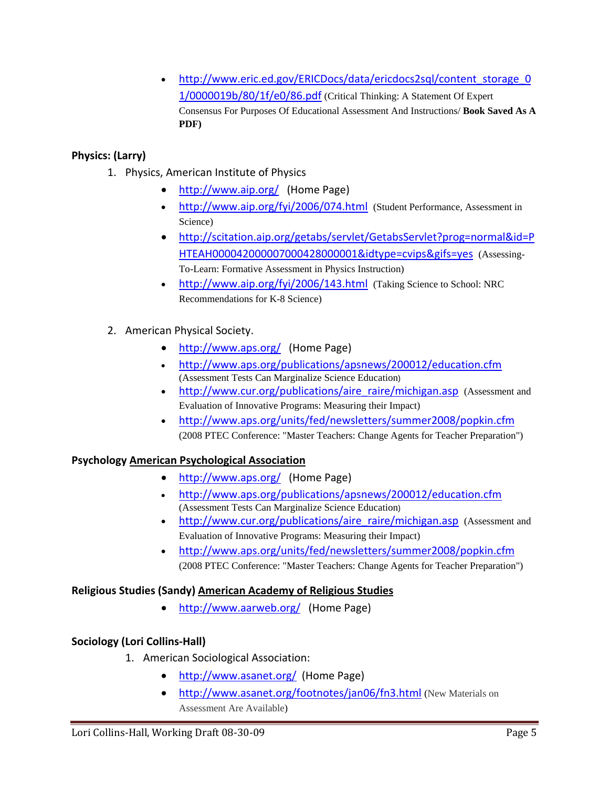• [http://www.eric.ed.gov/ERICDocs/data/ericdocs2sql/content\\_storage\\_0](http://www.eric.ed.gov/ERICDocs/data/ericdocs2sql/content_storage_01/0000019b/80/1f/e0/86.pdf) [1/0000019b/80/1f/e0/86.pdf](http://www.eric.ed.gov/ERICDocs/data/ericdocs2sql/content_storage_01/0000019b/80/1f/e0/86.pdf) (Critical Thinking: A Statement Of Expert Consensus For Purposes Of Educational Assessment And Instructions/ **Book Saved As A PDF)** 

# **Physics: (Larry)**

- 1. Physics, American Institute of Physics
	- <http://www.aip.org/> (Home Page)
	- <http://www.aip.org/fyi/2006/074.html> (Student Performance, Assessment in Science)
	- [http://scitation.aip.org/getabs/servlet/GetabsServlet?prog=normal&id=P](http://scitation.aip.org/getabs/servlet/GetabsServlet?prog=normal&id=PHTEAH000042000007000428000001&idtype=cvips&gifs=yes) [HTEAH000042000007000428000001&idtype=cvips&gifs=yes](http://scitation.aip.org/getabs/servlet/GetabsServlet?prog=normal&id=PHTEAH000042000007000428000001&idtype=cvips&gifs=yes) (Assessing-To-Learn: Formative Assessment in Physics Instruction)
	- <http://www.aip.org/fyi/2006/143.html> (Taking Science to School: NRC Recommendations for K-8 Science)
- 2. American Physical Society.
	- <http://www.aps.org/> (Home Page)
	- <http://www.aps.org/publications/apsnews/200012/education.cfm> (Assessment Tests Can Marginalize Science Education)
	- [http://www.cur.org/publications/aire\\_raire/michigan.asp](http://www.cur.org/publications/aire_raire/michigan.asp) (Assessment and Evaluation of Innovative Programs: Measuring their Impact)
	- <http://www.aps.org/units/fed/newsletters/summer2008/popkin.cfm> (2008 PTEC Conference: "Master Teachers: Change Agents for Teacher Preparation")

## **Psychology American Psychological Association**

- <http://www.aps.org/> (Home Page)
- <http://www.aps.org/publications/apsnews/200012/education.cfm> (Assessment Tests Can Marginalize Science Education)
- http://www.cur.org/publications/aire\_raire/michigan.asp (Assessment and [Evaluation of Innovative Programs: Measuring their Impact\)](http://www.cur.org/publications/aire_raire/michigan.asp)
- <http://www.aps.org/units/fed/newsletters/summer2008/popkin.cfm> (2008 PTEC Conference: "Master Teachers: Change Agents for Teacher Preparation")

## **Religious Studies (Sandy) American Academy of Religious Studies**

• <http://www.aarweb.org/> (Home Page)

## **Sociology (Lori Collins‐Hall)**

- 1. American Sociological Association:
	- http://www.asanet.org/ [\(Home](http://www.asanet.org/) Page)
	- <http://www.asanet.org/footnotes/jan06/fn3.html> (New Materials on Assessment Are Available)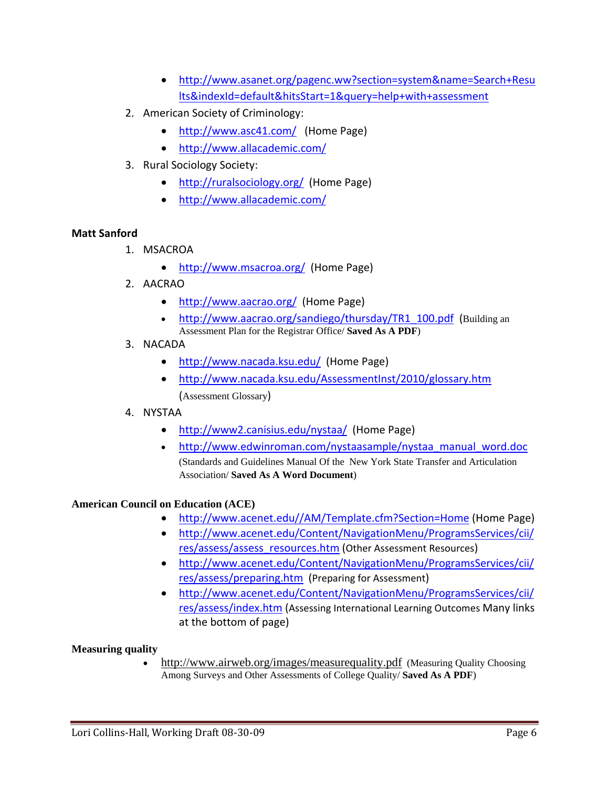- [http://www.asanet.org/pagenc.ww?section=system&name=Search+Resu](http://www.asanet.org/pagenc.ww?section=system&name=Search+Results&indexId=default&hitsStart=1&query=help+with+assessment) [lts&indexId=default&hitsStart=1&query=help+with+assessment](http://www.asanet.org/pagenc.ww?section=system&name=Search+Results&indexId=default&hitsStart=1&query=help+with+assessment)
- 2. American Society of Criminology:
	- <http://www.asc41.com/> (Home Page)
	- <http://www.allacademic.com/>
- 3. Rural Sociology Society:
	- <http://ruralsociology.org/> (Home Page)
	- <http://www.allacademic.com/>

#### **Matt Sanford**

- 1. MSACROA
	- <http://www.msacroa.org/> (Home Page)
- 2. AACRAO
	- <http://www.aacrao.org/> (Home Page)
	- [http://www.aacrao.org/sandiego/thursday/TR1\\_100.pdf](http://www.aacrao.org/sandiego/thursday/TR1_100.pdf) (Building an Assessment Plan for the Registrar Office/ **Saved As A PDF**)
- 3. NACADA
	- <http://www.nacada.ksu.edu/> (Home Page)
	- <http://www.nacada.ksu.edu/AssessmentInst/2010/glossary.htm> (Assessment Glossary)
- 4. NYSTAA
	- <http://www2.canisius.edu/nystaa/> (Home Page)
	- [http://www.edwinroman.com/nystaasample/nystaa\\_manual\\_word.doc](http://www.edwinroman.com/nystaasample/nystaa_manual_word.doc) (Standards and Guidelines Manual Of the New York State Transfer and Articulation Association/ **Saved As A Word Document**)

## **American Council on Education (ACE)**

- http://www.acenet.edu//AM/Template.cfm?Section=Home [\(Home](http://www.acenet.edu//AM/Template.cfm?Section=Home) Page)
- [http://www.acenet.edu/Content/NavigationMenu/ProgramsServices/cii/](http://www.acenet.edu/Content/NavigationMenu/ProgramsServices/cii/res/assess/assess_resources.htm) [res/assess/assess\\_resources.htm](http://www.acenet.edu/Content/NavigationMenu/ProgramsServices/cii/res/assess/assess_resources.htm) (Other Assessment Resources)
- [http://www.acenet.edu/Content/NavigationMenu/ProgramsServices/cii/](http://www.acenet.edu/Content/NavigationMenu/ProgramsServices/cii/res/assess/preparing.htm) [res/assess/preparing.htm](http://www.acenet.edu/Content/NavigationMenu/ProgramsServices/cii/res/assess/preparing.htm) (Preparing for Assessment)
- [http://www.acenet.edu/Content/NavigationMenu/ProgramsServices/cii/](http://www.acenet.edu/Content/NavigationMenu/ProgramsServices/cii/res/assess/index.htm) [res/assess/index.htm](http://www.acenet.edu/Content/NavigationMenu/ProgramsServices/cii/res/assess/index.htm) (Assessing International Learning Outcomes Many links at the bottom of page)

#### **Measuring quality**

• <http://www.airweb.org/images/measurequality.pdf> (Measuring Quality Choosing Among Surveys and Other Assessments of College Quality/ **Saved As A PDF**)